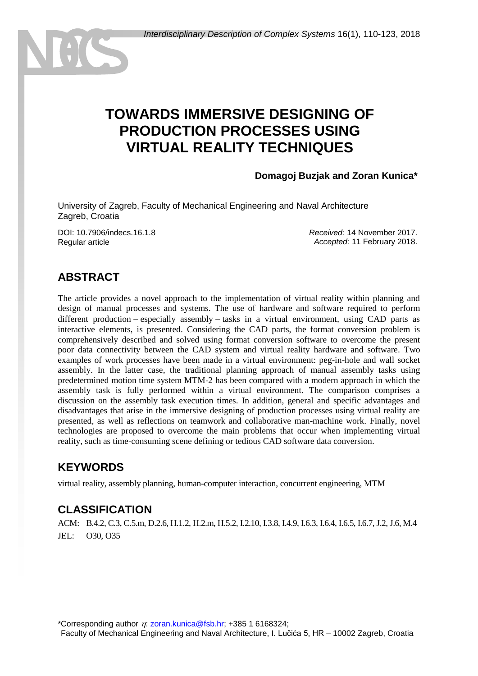# **TOWARDS IMMERSIVE DESIGNING OF PRODUCTION PROCESSES USING VIRTUAL REALITY TECHNIQUES**

#### **Domagoj Buzjak and Zoran Kunica\***

University of Zagreb, Faculty of Mechanical Engineering and Naval Architecture Zagreb, Croatia

DOI: 10.7906/indecs.16.1.8 Regular article

*Received:* 14 November 2017. *Accepted:* 11 February 2018.

### **ABSTRACT**

The article provides a novel approach to the implementation of virtual reality within planning and design of manual processes and systems. The use of hardware and software required to perform different production  $-$  especially assembly  $-$  tasks in a virtual environment, using CAD parts as interactive elements, is presented. Considering the CAD parts, the format conversion problem is comprehensively described and solved using format conversion software to overcome the present poor data connectivity between the CAD system and virtual reality hardware and software. Two examples of work processes have been made in a virtual environment: peg-in-hole and wall socket assembly. In the latter case, the traditional planning approach of manual assembly tasks using predetermined motion time system MTM-2 has been compared with a modern approach in which the assembly task is fully performed within a virtual environment. The comparison comprises a discussion on the assembly task execution times. In addition, general and specific advantages and disadvantages that arise in the immersive designing of production processes using virtual reality are presented, as well as reflections on teamwork and collaborative man-machine work. Finally, novel technologies are proposed to overcome the main problems that occur when implementing virtual reality, such as time-consuming scene defining or tedious CAD software data conversion.

#### **KEYWORDS**

virtual reality, assembly planning, human-computer interaction, concurrent engineering, MTM

#### **CLASSIFICATION**

ACM: B.4.2, C.3, C.5.m, D.2.6, H.1.2, H.2.m, H.5.2, I.2.10, I.3.8, I.4.9, I.6.3, I.6.4, I.6.5, I.6.7, J.2, J.6, M.4 JEL: O30, O35

\*Corresponding author  $\eta$ : [zoran.kunica@fsb.hr;](mailto:zoran.kunica@fsb.hr) +385 1 6168324;

Faculty of Mechanical Engineering and Naval Architecture, I. Lučića 5, HR – 10002 Zagreb, Croatia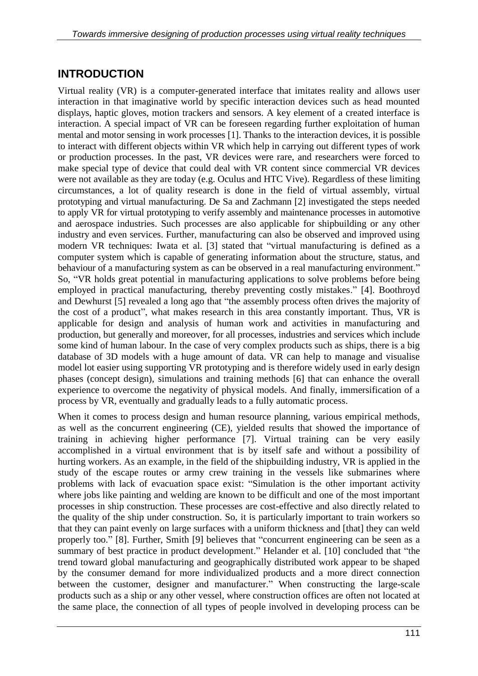### **INTRODUCTION**

Virtual reality (VR) is a computer-generated interface that imitates reality and allows user interaction in that imaginative world by specific interaction devices such as head mounted displays, haptic gloves, motion trackers and sensors. A key element of a created interface is interaction. A special impact of VR can be foreseen regarding further exploitation of human mental and motor sensing in work processes [1]. Thanks to the interaction devices, it is possible to interact with different objects within VR which help in carrying out different types of work or production processes. In the past, VR devices were rare, and researchers were forced to make special type of device that could deal with VR content since commercial VR devices were not available as they are today (e.g. Oculus and HTC Vive). Regardless of these limiting circumstances, a lot of quality research is done in the field of virtual assembly, virtual prototyping and virtual manufacturing. De Sa and Zachmann [2] investigated the steps needed to apply VR for virtual prototyping to verify assembly and maintenance processes in automotive and aerospace industries. Such processes are also applicable for shipbuilding or any other industry and even services. Further, manufacturing can also be observed and improved using modern VR techniques: Iwata et al. [3] stated that "virtual manufacturing is defined as a computer system which is capable of generating information about the structure, status, and behaviour of a manufacturing system as can be observed in a real manufacturing environment." So, "VR holds great potential in manufacturing applications to solve problems before being employed in practical manufacturing, thereby preventing costly mistakes." [4]. Boothroyd and Dewhurst [5] revealed a long ago that "the assembly process often drives the majority of the cost of a product", what makes research in this area constantly important. Thus, VR is applicable for design and analysis of human work and activities in manufacturing and production, but generally and moreover, for all processes, industries and services which include some kind of human labour. In the case of very complex products such as ships, there is a big database of 3D models with a huge amount of data. VR can help to manage and visualise model lot easier using supporting VR prototyping and is therefore widely used in early design phases (concept design), simulations and training methods [6] that can enhance the overall experience to overcome the negativity of physical models. And finally, immersification of a process by VR, eventually and gradually leads to a fully automatic process.

When it comes to process design and human resource planning, various empirical methods, as well as the concurrent engineering (CE), yielded results that showed the importance of training in achieving higher performance [7]. Virtual training can be very easily accomplished in a virtual environment that is by itself safe and without a possibility of hurting workers. As an example, in the field of the shipbuilding industry, VR is applied in the study of the escape routes or army crew training in the vessels like submarines where problems with lack of evacuation space exist: "Simulation is the other important activity where jobs like painting and welding are known to be difficult and one of the most important processes in ship construction. These processes are cost-effective and also directly related to the quality of the ship under construction. So, it is particularly important to train workers so that they can paint evenly on large surfaces with a uniform thickness and [that] they can weld properly too." [8]. Further, Smith [9] believes that "concurrent engineering can be seen as a summary of best practice in product development." Helander et al. [10] concluded that "the trend toward global manufacturing and geographically distributed work appear to be shaped by the consumer demand for more individualized products and a more direct connection between the customer, designer and manufacturer." When constructing the large-scale products such as a ship or any other vessel, where construction offices are often not located at the same place, the connection of all types of people involved in developing process can be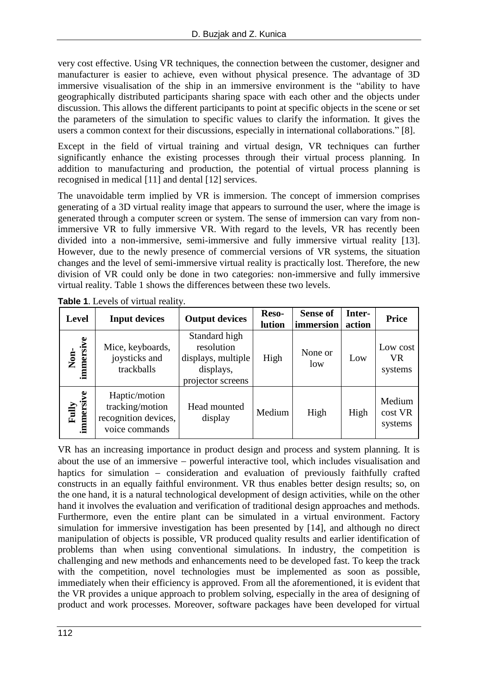very cost effective. Using VR techniques, the connection between the customer, designer and manufacturer is easier to achieve, even without physical presence. The advantage of 3D immersive visualisation of the ship in an immersive environment is the "ability to have geographically distributed participants sharing space with each other and the objects under discussion. This allows the different participants to point at specific objects in the scene or set the parameters of the simulation to specific values to clarify the information. It gives the users a common context for their discussions, especially in international collaborations." [8].

Except in the field of virtual training and virtual design, VR techniques can further significantly enhance the existing processes through their virtual process planning. In addition to manufacturing and production, the potential of virtual process planning is recognised in medical [11] and dental [12] services.

The unavoidable term implied by VR is immersion. The concept of immersion comprises generating of a 3D virtual reality image that appears to surround the user, where the image is generated through a computer screen or system. The sense of immersion can vary from nonimmersive VR to fully immersive VR. With regard to the levels, VR has recently been divided into a non-immersive, semi-immersive and fully immersive virtual reality [13]. However, due to the newly presence of commercial versions of VR systems, the situation changes and the level of semi-immersive virtual reality is practically lost. Therefore, the new division of VR could only be done in two categories: non-immersive and fully immersive virtual reality. Table 1 shows the differences between these two levels.

**Table 1**. Levels of virtual reality.

| <b>Level</b>       | <b>Input devices</b>                                                       | <b>Output devices</b>                                                               | Reso-<br>lution | <b>Sense of</b><br>immersion | Inter-<br>action | <b>Price</b>                     |
|--------------------|----------------------------------------------------------------------------|-------------------------------------------------------------------------------------|-----------------|------------------------------|------------------|----------------------------------|
| Non-<br>immersive  | Mice, keyboards,<br>joysticks and<br>trackballs                            | Standard high<br>resolution<br>displays, multiple<br>displays,<br>projector screens | High            | None or<br>low               | Low              | Low cost<br><b>VR</b><br>systems |
| immersive<br>Fully | Haptic/motion<br>tracking/motion<br>recognition devices,<br>voice commands | Head mounted<br>display                                                             | Medium          | High                         | High             | Medium<br>cost VR<br>systems     |

VR has an increasing importance in product design and process and system planning. It is about the use of an immersive  $-$  powerful interactive tool, which includes visualisation and haptics for simulation - consideration and evaluation of previously faithfully crafted constructs in an equally faithful environment. VR thus enables better design results; so, on the one hand, it is a natural technological development of design activities, while on the other hand it involves the evaluation and verification of traditional design approaches and methods. Furthermore, even the entire plant can be simulated in a virtual environment. Factory simulation for immersive investigation has been presented by [14], and although no direct manipulation of objects is possible, VR produced quality results and earlier identification of problems than when using conventional simulations. In industry, the competition is challenging and new methods and enhancements need to be developed fast. To keep the track with the competition, novel technologies must be implemented as soon as possible, immediately when their efficiency is approved. From all the aforementioned, it is evident that the VR provides a unique approach to problem solving, especially in the area of designing of product and work processes. Moreover, software packages have been developed for virtual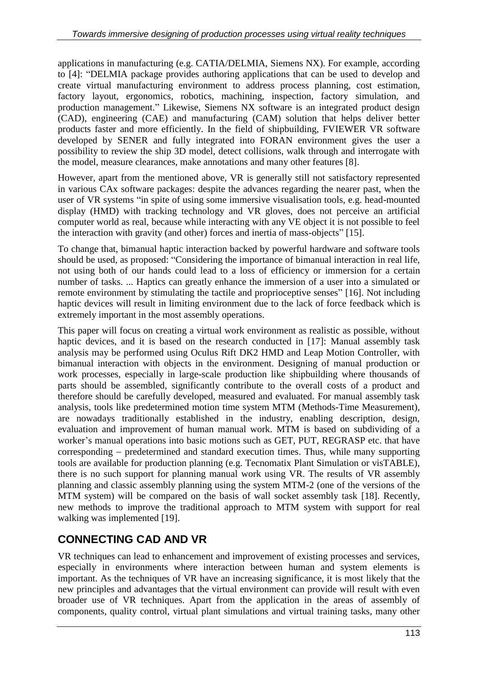applications in manufacturing (e.g. CATIA/DELMIA, Siemens NX). For example, according to [4]: "DELMIA package provides authoring applications that can be used to develop and create virtual manufacturing environment to address process planning, cost estimation, factory layout, ergonomics, robotics, machining, inspection, factory simulation, and production management." Likewise, Siemens NX software is an integrated product design (CAD), engineering (CAE) and manufacturing (CAM) solution that helps deliver better products faster and more efficiently. In the field of shipbuilding, FVIEWER VR software developed by SENER and fully integrated into FORAN environment gives the user a possibility to review the ship 3D model, detect collisions, walk through and interrogate with the model, measure clearances, make annotations and many other features [8].

However, apart from the mentioned above, VR is generally still not satisfactory represented in various CAx software packages: despite the advances regarding the nearer past, when the user of VR systems "in spite of using some immersive visualisation tools, e.g. head-mounted display (HMD) with tracking technology and VR gloves, does not perceive an artificial computer world as real, because while interacting with any VE object it is not possible to feel the interaction with gravity (and other) forces and inertia of mass-objects" [15].

To change that, bimanual haptic interaction backed by powerful hardware and software tools should be used, as proposed: "Considering the importance of bimanual interaction in real life, not using both of our hands could lead to a loss of efficiency or immersion for a certain number of tasks. ... Haptics can greatly enhance the immersion of a user into a simulated or remote environment by stimulating the tactile and proprioceptive senses" [16]. Not including haptic devices will result in limiting environment due to the lack of force feedback which is extremely important in the most assembly operations.

This paper will focus on creating a virtual work environment as realistic as possible, without haptic devices, and it is based on the research conducted in [17]: Manual assembly task analysis may be performed using Oculus Rift DK2 HMD and Leap Motion Controller, with bimanual interaction with objects in the environment. Designing of manual production or work processes, especially in large-scale production like shipbuilding where thousands of parts should be assembled, significantly contribute to the overall costs of a product and therefore should be carefully developed, measured and evaluated. For manual assembly task analysis, tools like predetermined motion time system MTM (Methods-Time Measurement), are nowadays traditionally established in the industry, enabling description, design, evaluation and improvement of human manual work. MTM is based on subdividing of a worker's manual operations into basic motions such as GET, PUT, REGRASP etc. that have  $corresponding - predetermined and standard execution times. Thus, while many supporting$ tools are available for production planning (e.g. Tecnomatix Plant Simulation or visTABLE), there is no such support for planning manual work using VR. The results of VR assembly planning and classic assembly planning using the system MTM-2 (one of the versions of the MTM system) will be compared on the basis of wall socket assembly task [18]. Recently, new methods to improve the traditional approach to MTM system with support for real walking was implemented [19].

### **CONNECTING CAD AND VR**

VR techniques can lead to enhancement and improvement of existing processes and services, especially in environments where interaction between human and system elements is important. As the techniques of VR have an increasing significance, it is most likely that the new principles and advantages that the virtual environment can provide will result with even broader use of VR techniques. Apart from the application in the areas of assembly of components, quality control, virtual plant simulations and virtual training tasks, many other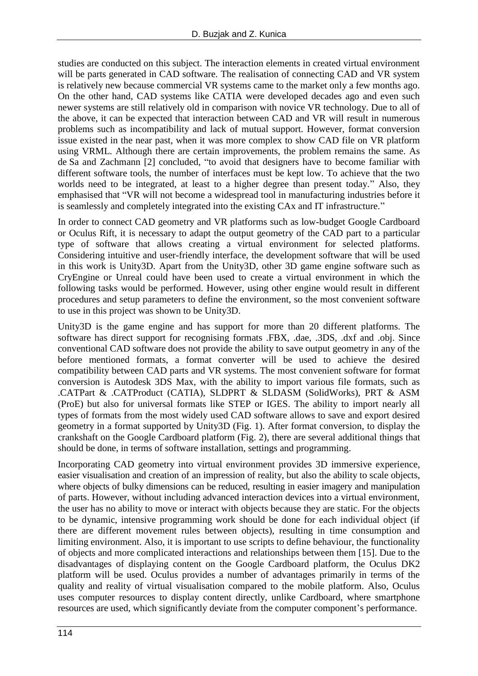studies are conducted on this subject. The interaction elements in created virtual environment will be parts generated in CAD software. The realisation of connecting CAD and VR system is relatively new because commercial VR systems came to the market only a few months ago. On the other hand, CAD systems like CATIA were developed decades ago and even such newer systems are still relatively old in comparison with novice VR technology. Due to all of the above, it can be expected that interaction between CAD and VR will result in numerous problems such as incompatibility and lack of mutual support. However, format conversion issue existed in the near past, when it was more complex to show CAD file on VR platform using VRML. Although there are certain improvements, the problem remains the same. As de Sa and Zachmann [2] concluded, "to avoid that designers have to become familiar with different software tools, the number of interfaces must be kept low. To achieve that the two worlds need to be integrated, at least to a higher degree than present today." Also, they emphasised that "VR will not become a widespread tool in manufacturing industries before it is seamlessly and completely integrated into the existing CAx and IT infrastructure."

In order to connect CAD geometry and VR platforms such as low-budget Google Cardboard or Oculus Rift, it is necessary to adapt the output geometry of the CAD part to a particular type of software that allows creating a virtual environment for selected platforms. Considering intuitive and user-friendly interface, the development software that will be used in this work is Unity3D. Apart from the Unity3D, other 3D game engine software such as CryEngine or Unreal could have been used to create a virtual environment in which the following tasks would be performed. However, using other engine would result in different procedures and setup parameters to define the environment, so the most convenient software to use in this project was shown to be Unity3D.

Unity3D is the game engine and has support for more than 20 different platforms. The software has direct support for recognising formats .FBX, .dae, .3DS, .dxf and .obj. Since conventional CAD software does not provide the ability to save output geometry in any of the before mentioned formats, a format converter will be used to achieve the desired compatibility between CAD parts and VR systems. The most convenient software for format conversion is Autodesk 3DS Max, with the ability to import various file formats, such as .CATPart & .CATProduct (CATIA), SLDPRT & SLDASM (SolidWorks), PRT & ASM (ProE) but also for universal formats like STEP or IGES. The ability to import nearly all types of formats from the most widely used CAD software allows to save and export desired geometry in a format supported by Unity3D (Fig. 1). After format conversion, to display the crankshaft on the Google Cardboard platform (Fig. 2), there are several additional things that should be done, in terms of software installation, settings and programming.

Incorporating CAD geometry into virtual environment provides 3D immersive experience, easier visualisation and creation of an impression of reality, but also the ability to scale objects, where objects of bulky dimensions can be reduced, resulting in easier imagery and manipulation of parts. However, without including advanced interaction devices into a virtual environment, the user has no ability to move or interact with objects because they are static. For the objects to be dynamic, intensive programming work should be done for each individual object (if there are different movement rules between objects), resulting in time consumption and limiting environment. Also, it is important to use scripts to define behaviour, the functionality of objects and more complicated interactions and relationships between them [15]. Due to the disadvantages of displaying content on the Google Cardboard platform, the Oculus DK2 platform will be used. Oculus provides a number of advantages primarily in terms of the quality and reality of virtual visualisation compared to the mobile platform. Also, Oculus uses computer resources to display content directly, unlike Cardboard, where smartphone resources are used, which significantly deviate from the computer component's performance.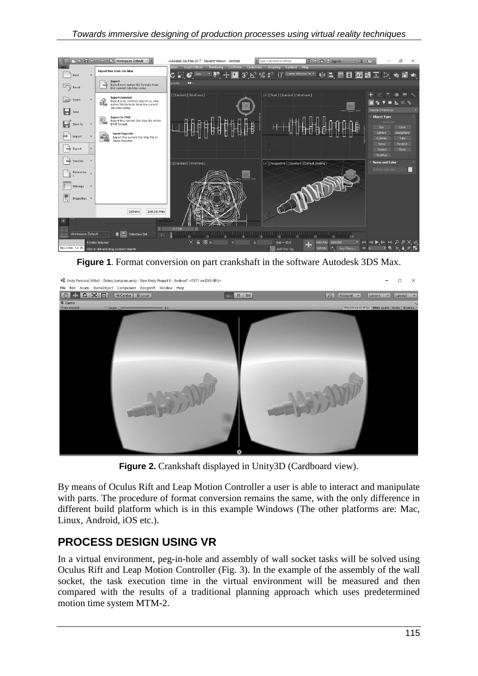

**Figure 1**. Format conversion on part crankshaft in the software Autodesk 3DS Max.



**Figure 2.** Crankshaft displayed in Unity3D (Cardboard view).

By means of Oculus Rift and Leap Motion Controller a user is able to interact and manipulate with parts. The procedure of format conversion remains the same, with the only difference in different build platform which is in this example Windows (The other platforms are: Mac, Linux, Android, iOS etc.).

#### **PROCESS DESIGN USING VR**

In a virtual environment, peg-in-hole and assembly of wall socket tasks will be solved using Oculus Rift and Leap Motion Controller (Fig. 3). In the example of the assembly of the wall socket, the task execution time in the virtual environment will be measured and then compared with the results of a traditional planning approach which uses predetermined motion time system MTM-2.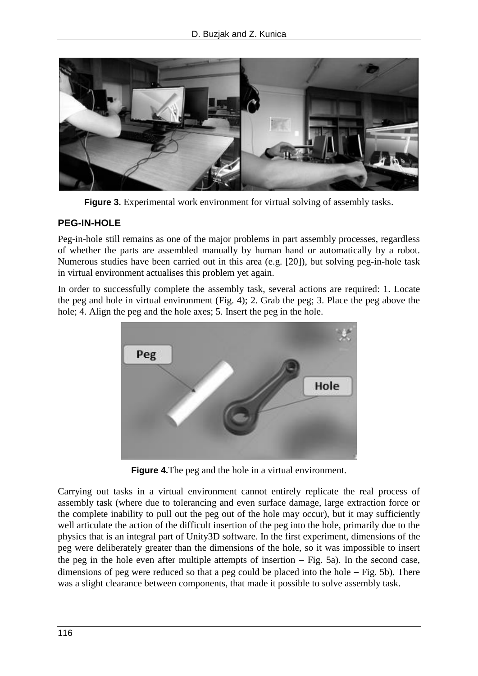

**Figure 3.** Experimental work environment for virtual solving of assembly tasks.

#### **PEG-IN-HOLE**

Peg-in-hole still remains as one of the major problems in part assembly processes, regardless of whether the parts are assembled manually by human hand or automatically by a robot. Numerous studies have been carried out in this area (e.g. [20]), but solving peg-in-hole task in virtual environment actualises this problem yet again.

In order to successfully complete the assembly task, several actions are required: 1. Locate the peg and hole in virtual environment (Fig. 4); 2. Grab the peg; 3. Place the peg above the hole; 4. Align the peg and the hole axes; 5. Insert the peg in the hole.



**Figure 4.**The peg and the hole in a virtual environment.

Carrying out tasks in a virtual environment cannot entirely replicate the real process of assembly task (where due to tolerancing and even surface damage, large extraction force or the complete inability to pull out the peg out of the hole may occur), but it may sufficiently well articulate the action of the difficult insertion of the peg into the hole, primarily due to the physics that is an integral part of Unity3D software. In the first experiment, dimensions of the peg were deliberately greater than the dimensions of the hole, so it was impossible to insert the peg in the hole even after multiple attempts of insertion  $-$  Fig. 5a). In the second case, dimensions of peg were reduced so that a peg could be placed into the hole  $-$  Fig. 5b). There was a slight clearance between components, that made it possible to solve assembly task.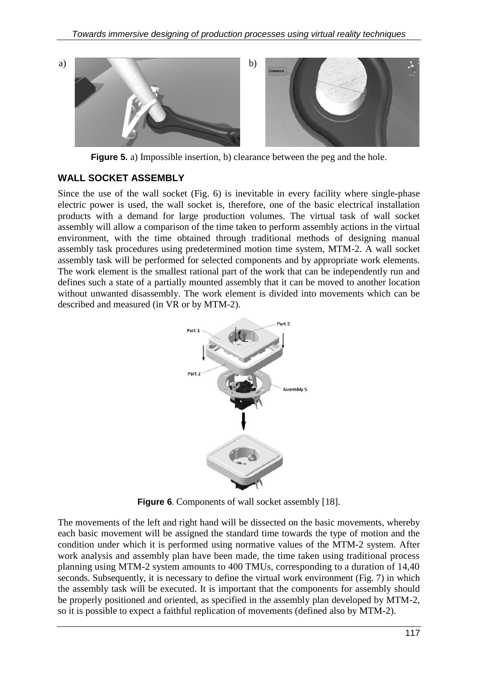

**Figure 5.** a) Impossible insertion, b) clearance between the peg and the hole.

#### **WALL SOCKET ASSEMBLY**

Since the use of the wall socket (Fig. 6) is inevitable in every facility where single-phase electric power is used, the wall socket is, therefore, one of the basic electrical installation products with a demand for large production volumes. The virtual task of wall socket assembly will allow a comparison of the time taken to perform assembly actions in the virtual environment, with the time obtained through traditional methods of designing manual assembly task procedures using predetermined motion time system, MTM-2. A wall socket assembly task will be performed for selected components and by appropriate work elements. The work element is the smallest rational part of the work that can be independently run and defines such a state of a partially mounted assembly that it can be moved to another location without unwanted disassembly. The work element is divided into movements which can be described and measured (in VR or by MTM-2).



**Figure 6**. Components of wall socket assembly [18].

The movements of the left and right hand will be dissected on the basic movements, whereby each basic movement will be assigned the standard time towards the type of motion and the condition under which it is performed using normative values of the MTM-2 system. After work analysis and assembly plan have been made, the time taken using traditional process planning using MTM-2 system amounts to 400 TMUs, corresponding to a duration of 14,40 seconds. Subsequently, it is necessary to define the virtual work environment (Fig. 7) in which the assembly task will be executed. It is important that the components for assembly should be properly positioned and oriented, as specified in the assembly plan developed by MTM-2, so it is possible to expect a faithful replication of movements (defined also by MTM-2).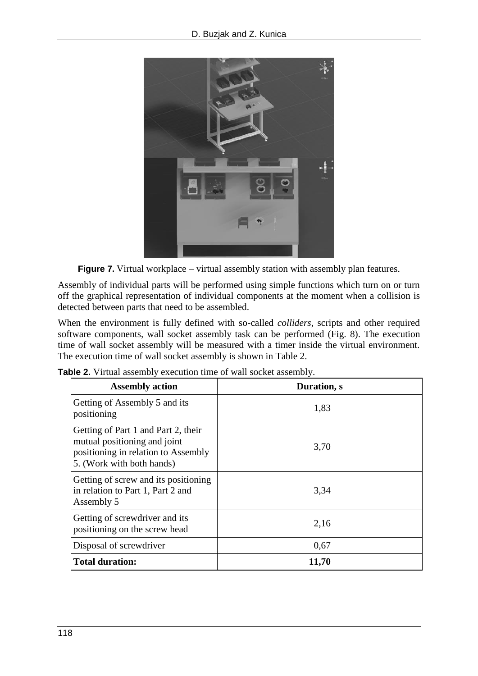

**Figure 7.** Virtual workplace – virtual assembly station with assembly plan features.

Assembly of individual parts will be performed using simple functions which turn on or turn off the graphical representation of individual components at the moment when a collision is detected between parts that need to be assembled.

When the environment is fully defined with so-called *colliders*, scripts and other required software components, wall socket assembly task can be performed (Fig. 8). The execution time of wall socket assembly will be measured with a timer inside the virtual environment. The execution time of wall socket assembly is shown in Table 2.

| <b>Assembly action</b>                                                                                                                  | Duration, s |
|-----------------------------------------------------------------------------------------------------------------------------------------|-------------|
| Getting of Assembly 5 and its<br>positioning                                                                                            | 1,83        |
| Getting of Part 1 and Part 2, their<br>mutual positioning and joint<br>positioning in relation to Assembly<br>5. (Work with both hands) | 3,70        |
| Getting of screw and its positioning<br>in relation to Part 1, Part 2 and<br>Assembly 5                                                 | 3,34        |
| Getting of screwdriver and its<br>positioning on the screw head                                                                         | 2,16        |
| Disposal of screwdriver                                                                                                                 | 0,67        |
| <b>Total duration:</b>                                                                                                                  | 11,70       |

|  | Table 2. Virtual assembly execution time of wall socket assembly. |  |  |
|--|-------------------------------------------------------------------|--|--|
|  |                                                                   |  |  |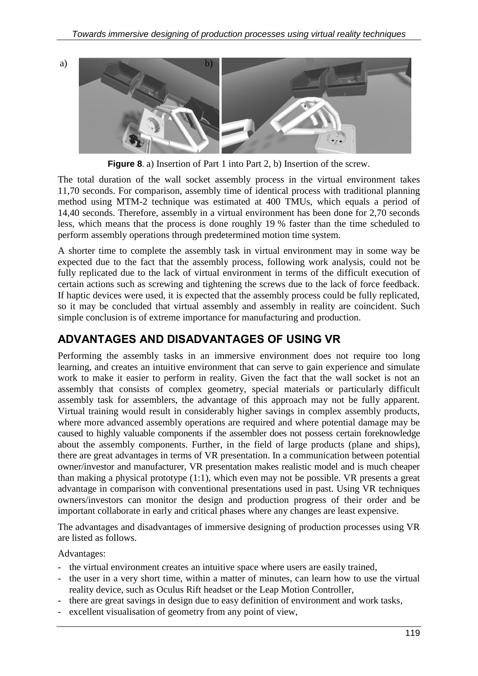a) b)

**Figure 8**. a) Insertion of Part 1 into Part 2, b) Insertion of the screw.

The total duration of the wall socket assembly process in the virtual environment takes 11,70 seconds. For comparison, assembly time of identical process with traditional planning method using MTM-2 technique was estimated at 400 TMUs, which equals a period of 14,40 seconds. Therefore, assembly in a virtual environment has been done for 2,70 seconds less, which means that the process is done roughly 19 % faster than the time scheduled to perform assembly operations through predetermined motion time system.

A shorter time to complete the assembly task in virtual environment may in some way be expected due to the fact that the assembly process, following work analysis, could not be fully replicated due to the lack of virtual environment in terms of the difficult execution of certain actions such as screwing and tightening the screws due to the lack of force feedback. If haptic devices were used, it is expected that the assembly process could be fully replicated, so it may be concluded that virtual assembly and assembly in reality are coincident. Such simple conclusion is of extreme importance for manufacturing and production.

#### **ADVANTAGES AND DISADVANTAGES OF USING VR**

Performing the assembly tasks in an immersive environment does not require too long learning, and creates an intuitive environment that can serve to gain experience and simulate work to make it easier to perform in reality. Given the fact that the wall socket is not an assembly that consists of complex geometry, special materials or particularly difficult assembly task for assemblers, the advantage of this approach may not be fully apparent. Virtual training would result in considerably higher savings in complex assembly products, where more advanced assembly operations are required and where potential damage may be caused to highly valuable components if the assembler does not possess certain foreknowledge about the assembly components. Further, in the field of large products (plane and ships), there are great advantages in terms of VR presentation. In a communication between potential owner/investor and manufacturer, VR presentation makes realistic model and is much cheaper than making a physical prototype (1:1), which even may not be possible. VR presents a great advantage in comparison with conventional presentations used in past. Using VR techniques owners/investors can monitor the design and production progress of their order and be important collaborate in early and critical phases where any changes are least expensive.

The advantages and disadvantages of immersive designing of production processes using VR are listed as follows.

Advantages:

- the virtual environment creates an intuitive space where users are easily trained,
- the user in a very short time, within a matter of minutes, can learn how to use the virtual reality device, such as Oculus Rift headset or the Leap Motion Controller,
- there are great savings in design due to easy definition of environment and work tasks,
- excellent visualisation of geometry from any point of view,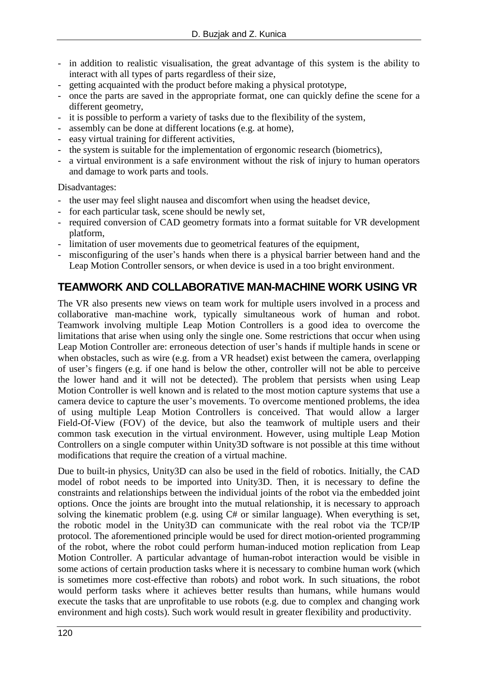- in addition to realistic visualisation, the great advantage of this system is the ability to interact with all types of parts regardless of their size,
- getting acquainted with the product before making a physical prototype,
- once the parts are saved in the appropriate format, one can quickly define the scene for a different geometry,
- it is possible to perform a variety of tasks due to the flexibility of the system,
- assembly can be done at different locations (e.g. at home),
- easy virtual training for different activities,
- the system is suitable for the implementation of ergonomic research (biometrics),
- a virtual environment is a safe environment without the risk of injury to human operators and damage to work parts and tools.

Disadvantages:

- the user may feel slight nausea and discomfort when using the headset device,
- for each particular task, scene should be newly set,
- required conversion of CAD geometry formats into a format suitable for VR development platform,
- limitation of user movements due to geometrical features of the equipment,
- misconfiguring of the user's hands when there is a physical barrier between hand and the Leap Motion Controller sensors, or when device is used in a too bright environment.

#### **TEAMWORK AND COLLABORATIVE MAN-MACHINE WORK USING VR**

The VR also presents new views on team work for multiple users involved in a process and collaborative man-machine work, typically simultaneous work of human and robot. Teamwork involving multiple Leap Motion Controllers is a good idea to overcome the limitations that arise when using only the single one. Some restrictions that occur when using Leap Motion Controller are: erroneous detection of user's hands if multiple hands in scene or when obstacles, such as wire (e.g. from a VR headset) exist between the camera, overlapping of user's fingers (e.g. if one hand is below the other, controller will not be able to perceive the lower hand and it will not be detected). The problem that persists when using Leap Motion Controller is well known and is related to the most motion capture systems that use a camera device to capture the user's movements. To overcome mentioned problems, the idea of using multiple Leap Motion Controllers is conceived. That would allow a larger Field-Of-View (FOV) of the device, but also the teamwork of multiple users and their common task execution in the virtual environment. However, using multiple Leap Motion Controllers on a single computer within Unity3D software is not possible at this time without modifications that require the creation of a virtual machine.

Due to built-in physics, Unity3D can also be used in the field of robotics. Initially, the CAD model of robot needs to be imported into Unity3D. Then, it is necessary to define the constraints and relationships between the individual joints of the robot via the embedded joint options. Once the joints are brought into the mutual relationship, it is necessary to approach solving the kinematic problem (e.g. using C# or similar language). When everything is set, the robotic model in the Unity3D can communicate with the real robot via the TCP/IP protocol. The aforementioned principle would be used for direct motion-oriented programming of the robot, where the robot could perform human-induced motion replication from Leap Motion Controller. A particular advantage of human-robot interaction would be visible in some actions of certain production tasks where it is necessary to combine human work (which is sometimes more cost-effective than robots) and robot work. In such situations, the robot would perform tasks where it achieves better results than humans, while humans would execute the tasks that are unprofitable to use robots (e.g. due to complex and changing work environment and high costs). Such work would result in greater flexibility and productivity.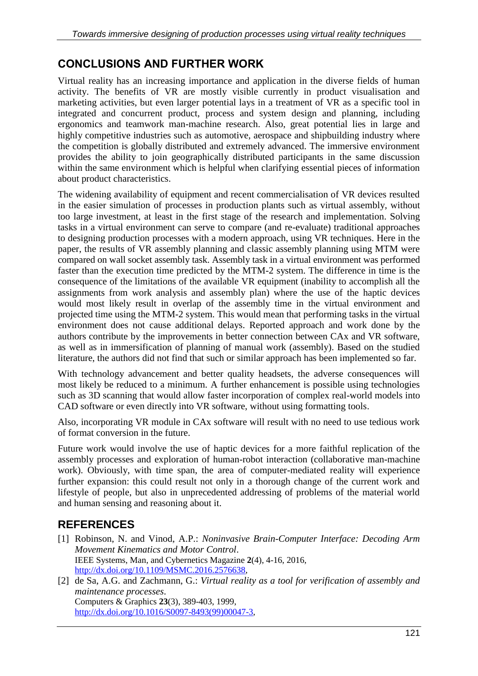### **CONCLUSIONS AND FURTHER WORK**

Virtual reality has an increasing importance and application in the diverse fields of human activity. The benefits of VR are mostly visible currently in product visualisation and marketing activities, but even larger potential lays in a treatment of VR as a specific tool in integrated and concurrent product, process and system design and planning, including ergonomics and teamwork man-machine research. Also, great potential lies in large and highly competitive industries such as automotive, aerospace and shipbuilding industry where the competition is globally distributed and extremely advanced. The immersive environment provides the ability to join geographically distributed participants in the same discussion within the same environment which is helpful when clarifying essential pieces of information about product characteristics.

The widening availability of equipment and recent commercialisation of VR devices resulted in the easier simulation of processes in production plants such as virtual assembly, without too large investment, at least in the first stage of the research and implementation. Solving tasks in a virtual environment can serve to compare (and re-evaluate) traditional approaches to designing production processes with a modern approach, using VR techniques. Here in the paper, the results of VR assembly planning and classic assembly planning using MTM were compared on wall socket assembly task. Assembly task in a virtual environment was performed faster than the execution time predicted by the MTM-2 system. The difference in time is the consequence of the limitations of the available VR equipment (inability to accomplish all the assignments from work analysis and assembly plan) where the use of the haptic devices would most likely result in overlap of the assembly time in the virtual environment and projected time using the MTM-2 system. This would mean that performing tasks in the virtual environment does not cause additional delays. Reported approach and work done by the authors contribute by the improvements in better connection between CAx and VR software, as well as in immersification of planning of manual work (assembly). Based on the studied literature, the authors did not find that such or similar approach has been implemented so far.

With technology advancement and better quality headsets, the adverse consequences will most likely be reduced to a minimum. A further enhancement is possible using technologies such as 3D scanning that would allow faster incorporation of complex real-world models into CAD software or even directly into VR software, without using formatting tools.

Also, incorporating VR module in CAx software will result with no need to use tedious work of format conversion in the future.

Future work would involve the use of haptic devices for a more faithful replication of the assembly processes and exploration of human-robot interaction (collaborative man-machine work). Obviously, with time span, the area of computer-mediated reality will experience further expansion: this could result not only in a thorough change of the current work and lifestyle of people, but also in unprecedented addressing of problems of the material world and human sensing and reasoning about it.

## **REFERENCES**

- [1] Robinson, N. and Vinod, A.P.: *Noninvasive Brain-Computer Interface: Decoding Arm Movement Kinematics and Motor Control*. IEEE Systems, Man, and Cybernetics Magazine **2**(4), 4-16, 2016, [http://dx.doi.org/10.1109/MSMC.2016.2576638,](http://dx.doi.org/10.1109/MSMC.2016.2576638)
- [2] de Sa, A.G. and Zachmann, G.: *Virtual reality as a tool for verification of assembly and maintenance processes*. Computers & Graphics **23**(3), 389-403, 1999, [http://dx.doi.org/10.1016/S0097-8493\(99\)00047-3,](http://dx.doi.org/10.1016/S0097-8493(99)00047-3)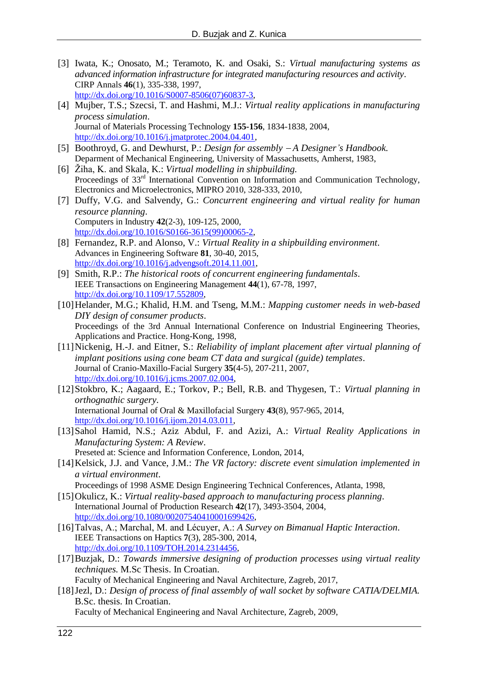- [3] Iwata, K.; Onosato, M.; Teramoto, K. and Osaki, S.: *Virtual manufacturing systems as advanced information infrastructure for integrated manufacturing resources and activity*. CIRP Annals **46**(1), 335-338, 1997, [http://dx.doi.org/10.1016/S0007-8506\(07\)60837-3,](http://dx.doi.org/10.1016/S0007-8506(07)60837-3)
- [4] Mujber, T.S.; Szecsi, T. and Hashmi, M.J.: *Virtual reality applications in manufacturing process simulation*. Journal of Materials Processing Technology **155-156**, 1834-1838, 2004, [http://dx.doi.org/10.1016/j.jmatprotec.2004.04.401,](http://dx.doi.org/10.1016/j.jmatprotec.2004.04.401)
- [5] Boothroyd, G. and Dewhurst, P.: *Design for assembly A Designer's Handbook.* Deparment of Mechanical Engineering, University of Massachusetts, Amherst, 1983,
- [6] Žiha, K. and Skala, K.: *Virtual modelling in shipbuilding.* Proceedings of 33<sup>rd</sup> International Convention on Information and Communication Technology, Electronics and Microelectronics, MIPRO 2010, 328-333, 2010,
- [7] Duffy, V.G. and Salvendy, G.: *Concurrent engineering and virtual reality for human resource planning*. Computers in Industry **42**(2-3), 109-125, 2000, [http://dx.doi.org/10.1016/S0166-3615\(99\)00065-2,](http://dx.doi.org/10.1016/S0166-3615(99)00065-2)
- [8] Fernandez, R.P. and Alonso, V.: *Virtual Reality in a shipbuilding environment*. Advances in Engineering Software **81**, 30-40, 2015, [http://dx.doi.org/10.1016/j.advengsoft.2014.11.001,](http://dx.doi.org/10.1016/j.advengsoft.2014.11.001)
- [9] Smith, R.P.: *The historical roots of concurrent engineering fundamentals*. IEEE Transactions on Engineering Management **44**(1), 67-78, 1997, [http://dx.doi.org/10.1109/17.552809,](http://dx.doi.org/10.1109/17.552809)
- [10]Helander, M.G.; Khalid, H.M. and Tseng, M.M.: *Mapping customer needs in web-based DIY design of consumer products*. Proceedings of the 3rd Annual International Conference on Industrial Engineering Theories, Applications and Practice. Hong-Kong, 1998,
- [11]Nickenig, H.-J. and Eitner, S.: *Reliability of implant placement after virtual planning of implant positions using cone beam CT data and surgical (guide) templates*. Journal of Cranio-Maxillo-Facial Surgery **35**(4-5), 207-211, 2007, [http://dx.doi.org/10.1016/j.jcms.2007.02.004,](http://dx.doi.org/10.1016/j.jcms.2007.02.004)
- [12]Stokbro, K.; Aagaard, E.; Torkov, P.; Bell, R.B. and Thygesen, T.: *Virtual planning in orthognathic surgery*. International Journal of Oral & Maxillofacial Surgery **43**(8), 957-965, 2014, [http://dx.doi.org/10.1016/j.ijom.2014.03.011,](http://dx.doi.org/10.1016/j.ijom.2014.03.011)
- [13]Sahol Hamid, N.S.; Aziz Abdul, F. and Azizi, A.: *Virtual Reality Applications in Manufacturing System: A Review*. Preseted at: Science and Information Conference, London, 2014,
- [14]Kelsick, J.J. and Vance, J.M.: *The VR factory: discrete event simulation implemented in a virtual environment*. Proceedings of 1998 ASME Design Engineering Technical Conferences, Atlanta, 1998,
- [15]Okulicz, K.: *Virtual reality-based approach to manufacturing process planning*. International Journal of Production Research **42**(17), 3493-3504, 2004,
	- [http://dx.doi.org/10.1080/00207540410001699426,](http://dx.doi.org/10.1080/00207540410001699426)
- [16]Talvas, A.; Marchal, M. and Lécuyer, A.: *A Survey on Bimanual Haptic Interaction*. IEEE Transactions on Haptics **7**(3), 285-300, 2014, [http://dx.doi.org/10.1109/TOH.2014.2314456,](http://dx.doi.org/10.1109/TOH.2014.2314456)
- [17]Buzjak, D.: *Towards immersive designing of production processes using virtual reality techniques.* M.Sc Thesis. In Croatian.

Faculty of Mechanical Engineering and Naval Architecture, Zagreb, 2017,

[18]Jezl, D.: *Design of process of final assembly of wall socket by software CATIA/DELMIA.* B.Sc. thesis. In Croatian.

Faculty of Mechanical Engineering and Naval Architecture, Zagreb, 2009,